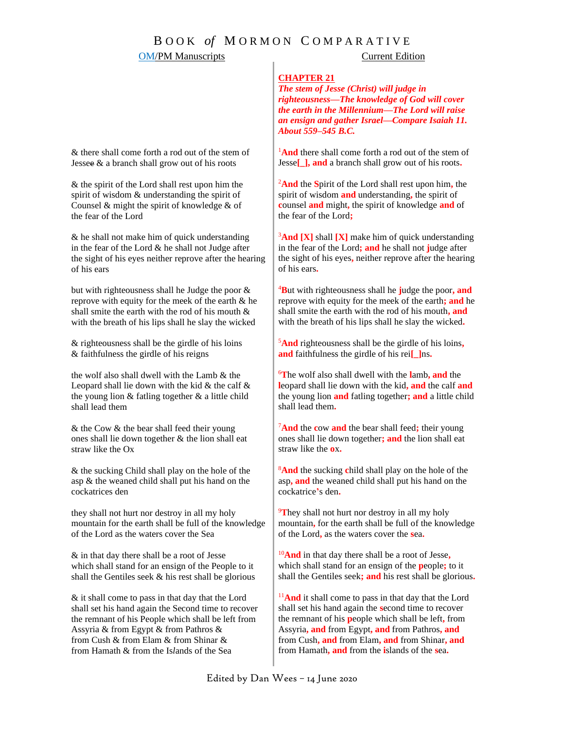# B O O K *of* M O R M O N C O M P A R A T I V E

# **OM/PM Manuscripts** Current Edition

### **CHAPTER 21**

*The stem of Jesse (Christ) will judge in righteousness—The knowledge of God will cover the earth in the Millennium—The Lord will raise an ensign and gather Israel—Compare Isaiah 11. About 559–545 B.C.*

<sup>1</sup>And there shall come forth a rod out of the stem of Jesse**[\_], and** a branch shall grow out of his roots**.**

<sup>2</sup>**And** the **S**pirit of the Lord shall rest upon him**,** the spirit of wisdom **and** understanding**,** the spirit of **c**ounsel **and** might**,** the spirit of knowledge **and** of the fear of the Lord**;**

<sup>3</sup>**And [X]** shall **[X]** make him of quick understanding in the fear of the Lord**; and** he shall not **j**udge after the sight of his eyes**,** neither reprove after the hearing of his ears**.**

<sup>4</sup>**B**ut with righteousness shall he **j**udge the poor**, and** reprove with equity for the meek of the earth**; and** he shall smite the earth with the rod of his mouth**, and** with the breath of his lips shall he slay the wicked**.**

<sup>5</sup>**And** righteousness shall be the girdle of his loins**, and** faithfulness the girdle of his rei**[\_]**ns**.**

<sup>6</sup>**T**he wolf also shall dwell with the **l**amb**, and** the **l**eopard shall lie down with the kid**, and** the calf **and** the young lion **and** fatling together**; and** a little child shall lead them**.**

<sup>7</sup>**And** the **c**ow **and** the bear shall feed**;** their young ones shall lie down together**; and** the lion shall eat straw like the **o**x**.**

<sup>8</sup>**And** the sucking **c**hild shall play on the hole of the asp**, and** the weaned child shall put his hand on the cockatrice**'**s den**.**

<sup>9</sup>They shall not hurt nor destroy in all my holy mountain**,** for the earth shall be full of the knowledge of the Lord**,** as the waters cover the **s**ea**.** 

<sup>10</sup>**And** in that day there shall be a root of Jesse**,**  which shall stand for an ensign of the **p**eople**;** to it shall the Gentiles seek**; and** his rest shall be glorious**.**

<sup>11</sup>And it shall come to pass in that day that the Lord shall set his hand again the **s**econd time to recover the remnant of his **p**eople which shall be left**,** from Assyria**, and** from Egypt**, and** from Pathros**, and** from Cush**, and** from Elam**, and** from Shinar**, and** from Hamath**, and** from the **i**slands of the **s**ea**.**

& there shall come forth a rod out of the stem of Jessee & a branch shall grow out of his roots

& the spirit of the Lord shall rest upon him the spirit of wisdom & understanding the spirit of Counsel & might the spirit of knowledge & of the fear of the Lord

& he shall not make him of quick understanding in the fear of the Lord  $&$  he shall not Judge after the sight of his eyes neither reprove after the hearing of his ears

but with righteousness shall he Judge the poor & reprove with equity for the meek of the earth & he shall smite the earth with the rod of his mouth & with the breath of his lips shall he slay the wicked

& righteousness shall be the girdle of his loins & faithfulness the girdle of his reigns

the wolf also shall dwell with the Lamb & the Leopard shall lie down with the kid  $\&$  the calf  $\&$ the young lion  $&$  fatling together  $&$  a little child shall lead them

& the Cow & the bear shall feed their young ones shall lie down together & the lion shall eat straw like the Ox

& the sucking Child shall play on the hole of the asp & the weaned child shall put his hand on the cockatrices den

they shall not hurt nor destroy in all my holy mountain for the earth shall be full of the knowledge of the Lord as the waters cover the Sea

& in that day there shall be a root of Jesse which shall stand for an ensign of the People to it shall the Gentiles seek & his rest shall be glorious

& it shall come to pass in that day that the Lord shall set his hand again the Second time to recover the remnant of his People which shall be left from Assyria & from Egypt & from Pathros & from Cush & from Elam & from Shinar & from Hamath & from the Is*l*ands of the Sea